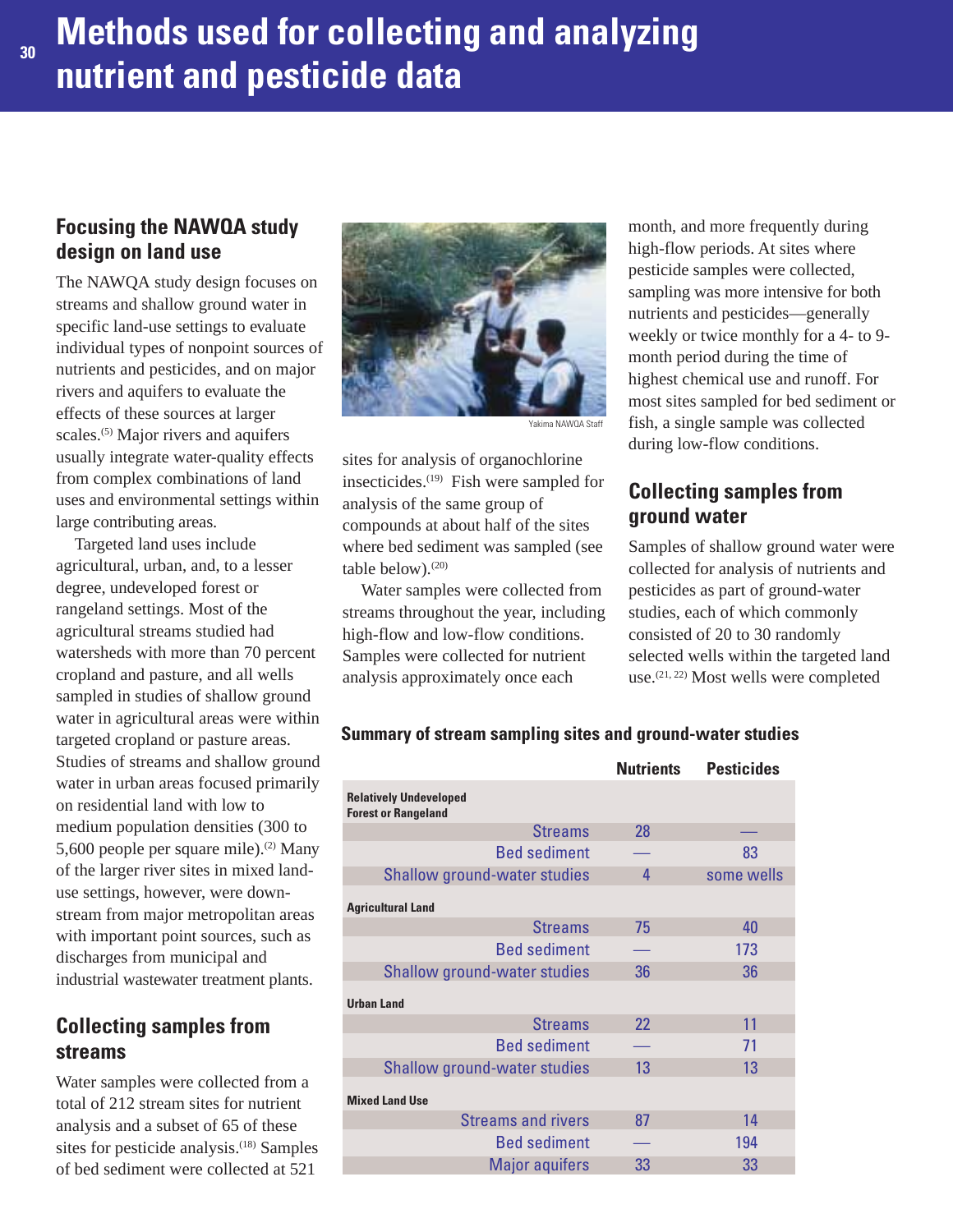## **Focusing the NAWQA study design on land use**

The NAWQA study design focuses on streams and shallow ground water in specific land-use settings to evaluate individual types of nonpoint sources of nutrients and pesticides, and on major rivers and aquifers to evaluate the effects of these sources at larger scales.<sup>(5)</sup> Major rivers and aquifers usually integrate water-quality effects from complex combinations of land uses and environmental settings within large contributing areas.

Targeted land uses include agricultural, urban, and, to a lesser degree, undeveloped forest or rangeland settings. Most of the agricultural streams studied had watersheds with more than 70 percent cropland and pasture, and all wells sampled in studies of shallow ground water in agricultural areas were within targeted cropland or pasture areas. Studies of streams and shallow ground water in urban areas focused primarily on residential land with low to medium population densities (300 to 5,600 people per square mile).<sup>(2)</sup> Many of the larger river sites in mixed landuse settings, however, were downstream from major metropolitan areas with important point sources, such as discharges from municipal and industrial wastewater treatment plants.

# **Collecting samples from streams**

Water samples were collected from a total of 212 stream sites for nutrient analysis and a subset of 65 of these sites for pesticide analysis.<sup>(18)</sup> Samples of bed sediment were collected at 521



Yakima NAWQA Staff

sites for analysis of organochlorine insecticides.<sup>(19)</sup> Fish were sampled for analysis of the same group of compounds at about half of the sites where bed sediment was sampled (see table below). $(20)$ 

Water samples were collected from streams throughout the year, including high-flow and low-flow conditions. Samples were collected for nutrient analysis approximately once each

month, and more frequently during high-flow periods. At sites where pesticide samples were collected, sampling was more intensive for both nutrients and pesticides—generally weekly or twice monthly for a 4- to 9 month period during the time of highest chemical use and runoff. For most sites sampled for bed sediment or fish, a single sample was collected during low-flow conditions.

### **Collecting samples from ground water**

Samples of shallow ground water were collected for analysis of nutrients and pesticides as part of ground-water studies, each of which commonly consisted of 20 to 30 randomly selected wells within the targeted land use.(21, 22) Most wells were completed

|                                                             | <b>Nutrients</b> | <b>Pesticides</b> |
|-------------------------------------------------------------|------------------|-------------------|
| <b>Relatively Undeveloped</b><br><b>Forest or Rangeland</b> |                  |                   |
| <b>Streams</b>                                              | 28               |                   |
| <b>Bed sediment</b>                                         |                  | 83                |
| <b>Shallow ground-water studies</b>                         | 4                | some wells        |
| <b>Agricultural Land</b>                                    |                  |                   |
| <b>Streams</b>                                              | 75               | 40                |
| <b>Bed sediment</b>                                         |                  | 173               |
| <b>Shallow ground-water studies</b>                         | 36               | 36                |
| <b>Urban Land</b>                                           |                  |                   |
| <b>Streams</b>                                              | 22               | 11                |
| <b>Bed sediment</b>                                         |                  | 71                |
| <b>Shallow ground-water studies</b>                         | 13               | 13                |
| <b>Mixed Land Use</b>                                       |                  |                   |
| <b>Streams and rivers</b>                                   | 87               | 14                |
| <b>Bed sediment</b>                                         |                  | 194               |
| <b>Major aquifers</b>                                       | 33               | 33                |

#### **Summary of stream sampling sites and ground-water studies**